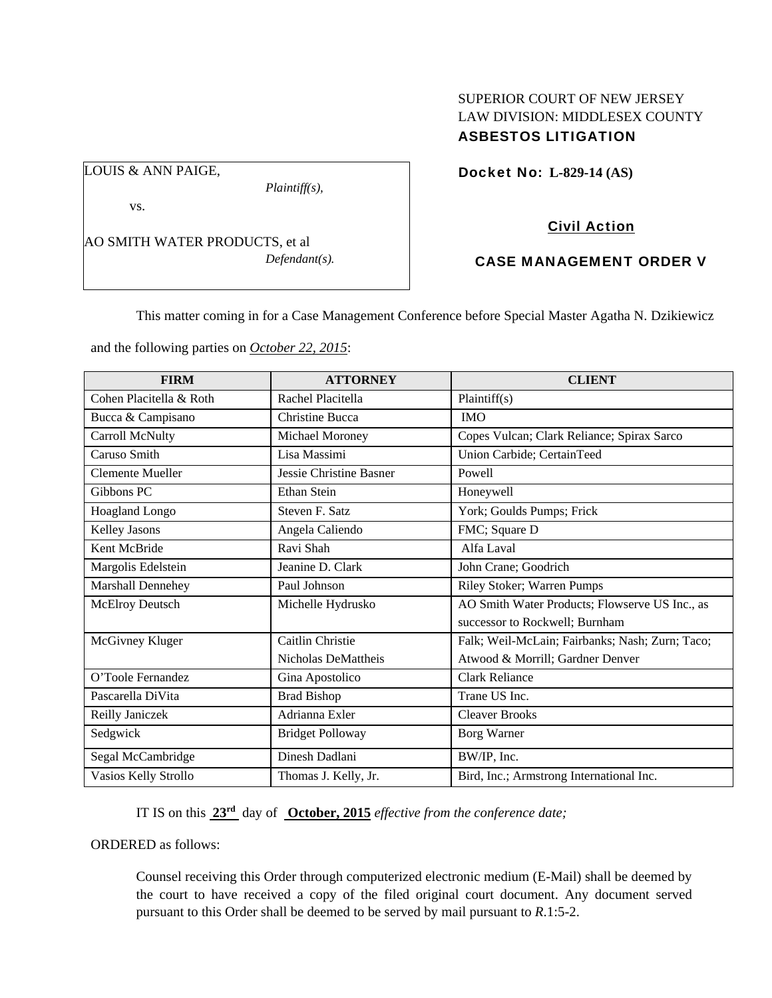### SUPERIOR COURT OF NEW JERSEY LAW DIVISION: MIDDLESEX COUNTY ASBESTOS LITIGATION

Docket No: **L-829-14 (AS)** 

vs.

LOUIS & ANN PAIGE,

AO SMITH WATER PRODUCTS, et al *Defendant(s).* 

*Plaintiff(s),* 

# Civil Action

# CASE MANAGEMENT ORDER V

This matter coming in for a Case Management Conference before Special Master Agatha N. Dzikiewicz

and the following parties on *October 22, 2015*:

| <b>FIRM</b>             | <b>ATTORNEY</b>                | <b>CLIENT</b>                                   |
|-------------------------|--------------------------------|-------------------------------------------------|
| Cohen Placitella & Roth | Rachel Placitella              | Plaintiff(s)                                    |
| Bucca & Campisano       | Christine Bucca                | <b>IMO</b>                                      |
| Carroll McNulty         | Michael Moroney                | Copes Vulcan; Clark Reliance; Spirax Sarco      |
| Caruso Smith            | Lisa Massimi                   | Union Carbide; CertainTeed                      |
| <b>Clemente Mueller</b> | <b>Jessie Christine Basner</b> | Powell                                          |
| Gibbons PC              | Ethan Stein                    | Honeywell                                       |
| Hoagland Longo          | Steven F. Satz                 | York; Goulds Pumps; Frick                       |
| Kelley Jasons           | Angela Caliendo                | FMC; Square D                                   |
| Kent McBride            | Ravi Shah                      | Alfa Laval                                      |
| Margolis Edelstein      | Jeanine D. Clark               | John Crane; Goodrich                            |
| Marshall Dennehey       | Paul Johnson                   | Riley Stoker; Warren Pumps                      |
| McElroy Deutsch         | Michelle Hydrusko              | AO Smith Water Products; Flowserve US Inc., as  |
|                         |                                | successor to Rockwell; Burnham                  |
| McGivney Kluger         | Caitlin Christie               | Falk; Weil-McLain; Fairbanks; Nash; Zurn; Taco; |
|                         | Nicholas DeMattheis            | Atwood & Morrill; Gardner Denver                |
| O'Toole Fernandez       | Gina Apostolico                | <b>Clark Reliance</b>                           |
| Pascarella DiVita       | <b>Brad Bishop</b>             | Trane US Inc.                                   |
| Reilly Janiczek         | Adrianna Exler                 | <b>Cleaver Brooks</b>                           |
| Sedgwick                | <b>Bridget Polloway</b>        | <b>Borg Warner</b>                              |
| Segal McCambridge       | Dinesh Dadlani                 | BW/IP, Inc.                                     |
| Vasios Kelly Strollo    | Thomas J. Kelly, Jr.           | Bird, Inc.; Armstrong International Inc.        |

IT IS on this **23rd** day of **October, 2015** *effective from the conference date;*

ORDERED as follows:

Counsel receiving this Order through computerized electronic medium (E-Mail) shall be deemed by the court to have received a copy of the filed original court document. Any document served pursuant to this Order shall be deemed to be served by mail pursuant to *R*.1:5-2.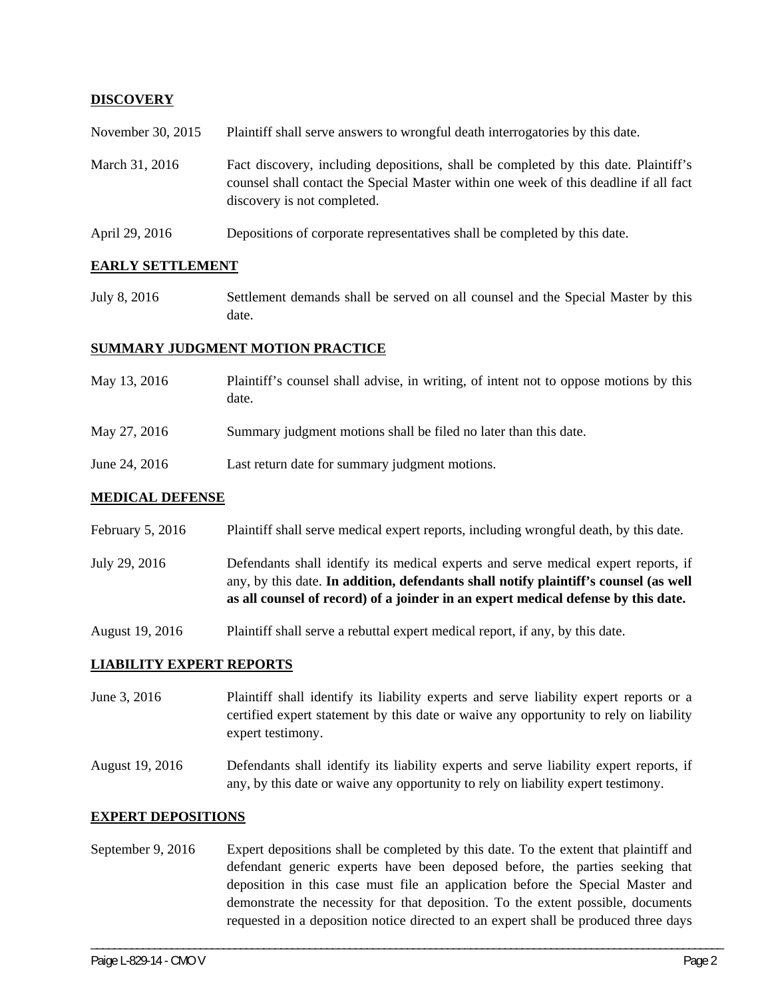### **DISCOVERY**

November 30, 2015 Plaintiff shall serve answers to wrongful death interrogatories by this date.

- March 31, 2016 Fact discovery, including depositions, shall be completed by this date. Plaintiff's counsel shall contact the Special Master within one week of this deadline if all fact discovery is not completed.
- April 29, 2016 Depositions of corporate representatives shall be completed by this date.

#### **EARLY SETTLEMENT**

July 8, 2016 Settlement demands shall be served on all counsel and the Special Master by this date.

#### **SUMMARY JUDGMENT MOTION PRACTICE**

- May 13, 2016 Plaintiff's counsel shall advise, in writing, of intent not to oppose motions by this date.
- May 27, 2016 Summary judgment motions shall be filed no later than this date.
- June 24, 2016 Last return date for summary judgment motions.

#### **MEDICAL DEFENSE**

- February 5, 2016 Plaintiff shall serve medical expert reports, including wrongful death, by this date.
- July 29, 2016 Defendants shall identify its medical experts and serve medical expert reports, if any, by this date. **In addition, defendants shall notify plaintiff's counsel (as well as all counsel of record) of a joinder in an expert medical defense by this date.**
- August 19, 2016 Plaintiff shall serve a rebuttal expert medical report, if any, by this date.

#### **LIABILITY EXPERT REPORTS**

- June 3, 2016 Plaintiff shall identify its liability experts and serve liability expert reports or a certified expert statement by this date or waive any opportunity to rely on liability expert testimony.
- August 19, 2016 Defendants shall identify its liability experts and serve liability expert reports, if any, by this date or waive any opportunity to rely on liability expert testimony.

### **EXPERT DEPOSITIONS**

September 9, 2016 Expert depositions shall be completed by this date. To the extent that plaintiff and defendant generic experts have been deposed before, the parties seeking that deposition in this case must file an application before the Special Master and demonstrate the necessity for that deposition. To the extent possible, documents requested in a deposition notice directed to an expert shall be produced three days

\_\_\_\_\_\_\_\_\_\_\_\_\_\_\_\_\_\_\_\_\_\_\_\_\_\_\_\_\_\_\_\_\_\_\_\_\_\_\_\_\_\_\_\_\_\_\_\_\_\_\_\_\_\_\_\_\_\_\_\_\_\_\_\_\_\_\_\_\_\_\_\_\_\_\_\_\_\_\_\_\_\_\_\_\_\_\_\_\_\_\_\_\_\_\_\_\_\_\_\_\_\_\_\_\_\_\_\_\_\_